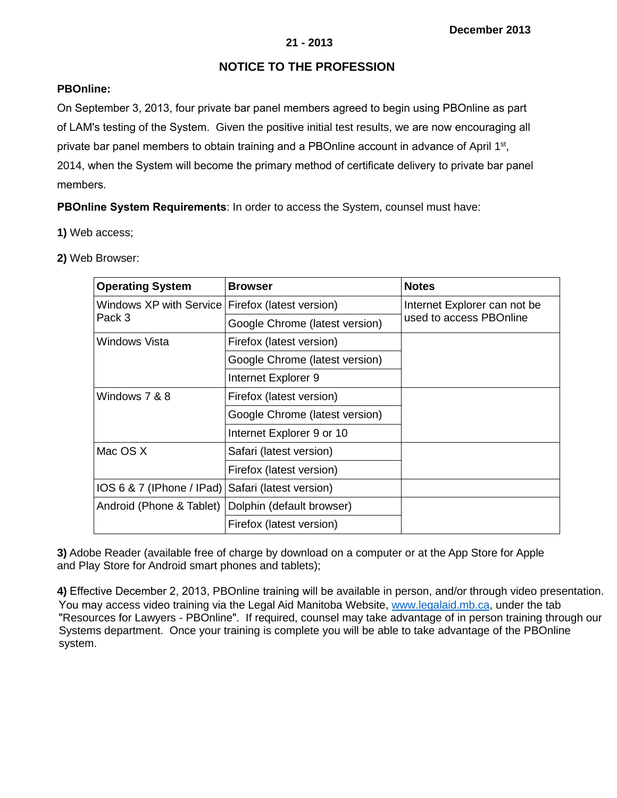# **21 - 2013**

# **NOTICE TO THE PROFESSION**

# **PBOnline:**

On September 3, 2013, four private bar panel members agreed to begin using PBOnline as part of LAM's testing of the System. Given the positive initial test results, we are now encouraging all private bar panel members to obtain training and a PBOnline account in advance of April 1<sup>st</sup>, 2014, when the System will become the primary method of certificate delivery to private bar panel members.

**PBOnline System Requirements**: In order to access the System, counsel must have:

- **1)** Web access;
- **2)** Web Browser:

| <b>Operating System</b>             | <b>Browser</b>                 | <b>Notes</b>                 |
|-------------------------------------|--------------------------------|------------------------------|
| Windows XP with Service l<br>Pack 3 | Firefox (latest version)       | Internet Explorer can not be |
|                                     | Google Chrome (latest version) | used to access PBOnline      |
| Windows Vista                       | Firefox (latest version)       |                              |
|                                     | Google Chrome (latest version) |                              |
|                                     | Internet Explorer 9            |                              |
| Windows 7 & 8                       | Firefox (latest version)       |                              |
|                                     | Google Chrome (latest version) |                              |
|                                     | Internet Explorer 9 or 10      |                              |
| Mac OS X                            | Safari (latest version)        |                              |
|                                     | Firefox (latest version)       |                              |
| IOS 6 8 7 (IPhone / IPad)           | Safari (latest version)        |                              |
| Android (Phone & Tablet)            | Dolphin (default browser)      |                              |
|                                     | Firefox (latest version)       |                              |

**3)** Adobe Reader (available free of charge by download on a computer or at the App Store for Apple and Play Store for Android smart phones and tablets);

**4)** Effective December 2, 2013, PBOnline training will be available in person, and/or through video presentation. You may access video training via the Legal Aid Manitob[a Website, www.legala](http://www.legalaid.mb.ca/)id.mb.ca, under the tab "Resources for Lawyers - PBOnline". If required, counsel may take advantage of in person training through our Systems department. Once your training is complete you will be able to take advantage of the PBOnline system.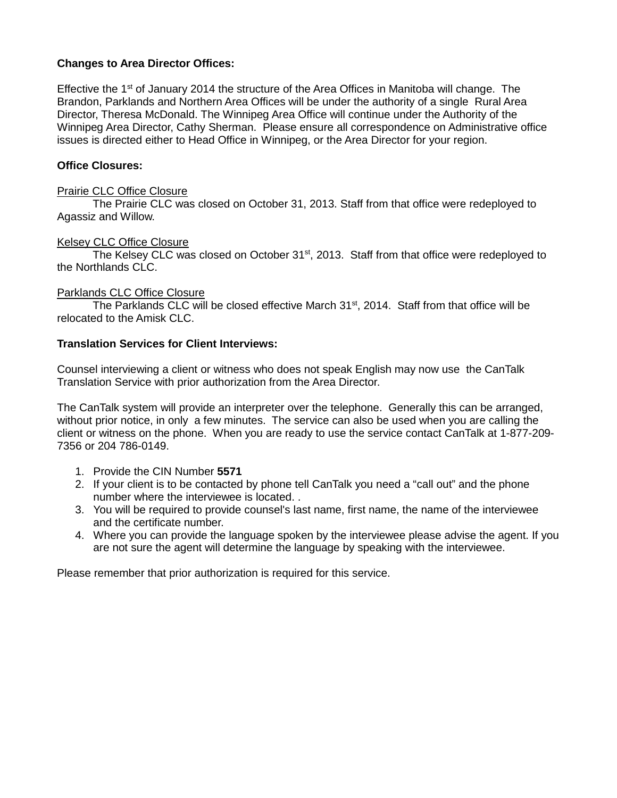# **Changes to Area Director Offices:**

Effective the  $1<sup>st</sup>$  of January 2014 the structure of the Area Offices in Manitoba will change. The Brandon, Parklands and Northern Area Offices will be under the authority of a single Rural Area Director, Theresa McDonald. The Winnipeg Area Office will continue under the Authority of the Winnipeg Area Director, Cathy Sherman. Please ensure all correspondence on Administrative office issues is directed either to Head Office in Winnipeg, or the Area Director for your region.

# **Office Closures:**

### Prairie CLC Office Closure

The Prairie CLC was closed on October 31, 2013. Staff from that office were redeployed to Agassiz and Willow.

#### Kelsey CLC Office Closure

The Kelsey CLC was closed on October 31<sup>st</sup>, 2013. Staff from that office were redeployed to the Northlands CLC.

# Parklands CLC Office Closure

The Parklands CLC will be closed effective March 31<sup>st</sup>, 2014. Staff from that office will be relocated to the Amisk CLC.

#### **Translation Services for Client Interviews:**

Counsel interviewing a client or witness who does not speak English may now use the CanTalk Translation Service with prior authorization from the Area Director.

The CanTalk system will provide an interpreter over the telephone. Generally this can be arranged, without prior notice, in only a few minutes. The service can also be used when you are calling the client or witness on the phone. When you are ready to use the service contact CanTalk at 1-877-209- 7356 or 204 786-0149.

- 1. Provide the CIN Number **5571**
- 2. If your client is to be contacted by phone tell CanTalk you need a "call out" and the phone number where the interviewee is located. .
- 3. You will be required to provide counsel's last name, first name, the name of the interviewee and the certificate number.
- 4. Where you can provide the language spoken by the interviewee please advise the agent. If you are not sure the agent will determine the language by speaking with the interviewee.

Please remember that prior authorization is required for this service.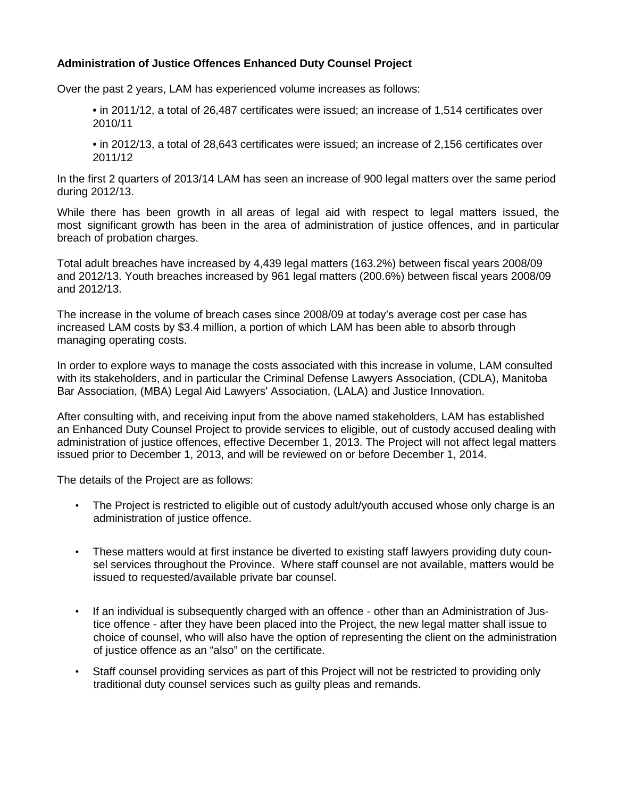# **Administration of Justice Offences Enhanced Duty Counsel Project**

Over the past 2 years, LAM has experienced volume increases as follows:

• in 2011/12, a total of 26,487 certificates were issued; an increase of 1,514 certificates over 2010/11

• in 2012/13, a total of 28,643 certificates were issued; an increase of 2,156 certificates over 2011/12

In the first 2 quarters of 2013/14 LAM has seen an increase of 900 legal matters over the same period during 2012/13.

While there has been growth in all areas of legal aid with respect to legal matters issued, the most significant growth has been in the area of administration of justice offences, and in particular breach of probation charges.

Total adult breaches have increased by 4,439 legal matters (163.2%) between fiscal years 2008/09 and 2012/13. Youth breaches increased by 961 legal matters (200.6%) between fiscal years 2008/09 and 2012/13.

The increase in the volume of breach cases since 2008/09 at today's average cost per case has increased LAM costs by \$3.4 million, a portion of which LAM has been able to absorb through managing operating costs.

In order to explore ways to manage the costs associated with this increase in volume, LAM consulted with its stakeholders, and in particular the Criminal Defense Lawyers Association, (CDLA), Manitoba Bar Association, (MBA) Legal Aid Lawyers' Association, (LALA) and Justice Innovation.

After consulting with, and receiving input from the above named stakeholders, LAM has established an Enhanced Duty Counsel Project to provide services to eligible, out of custody accused dealing with administration of justice offences, effective December 1, 2013. The Project will not affect legal matters issued prior to December 1, 2013, and will be reviewed on or before December 1, 2014.

The details of the Project are as follows:

- The Project is restricted to eligible out of custody adult/youth accused whose only charge is an administration of justice offence.
- These matters would at first instance be diverted to existing staff lawyers providing duty counsel services throughout the Province. Where staff counsel are not available, matters would be issued to requested/available private bar counsel.
- If an individual is subsequently charged with an offence other than an Administration of Justice offence - after they have been placed into the Project, the new legal matter shall issue to choice of counsel, who will also have the option of representing the client on the administration of justice offence as an "also" on the certificate.
- Staff counsel providing services as part of this Project will not be restricted to providing only traditional duty counsel services such as guilty pleas and remands.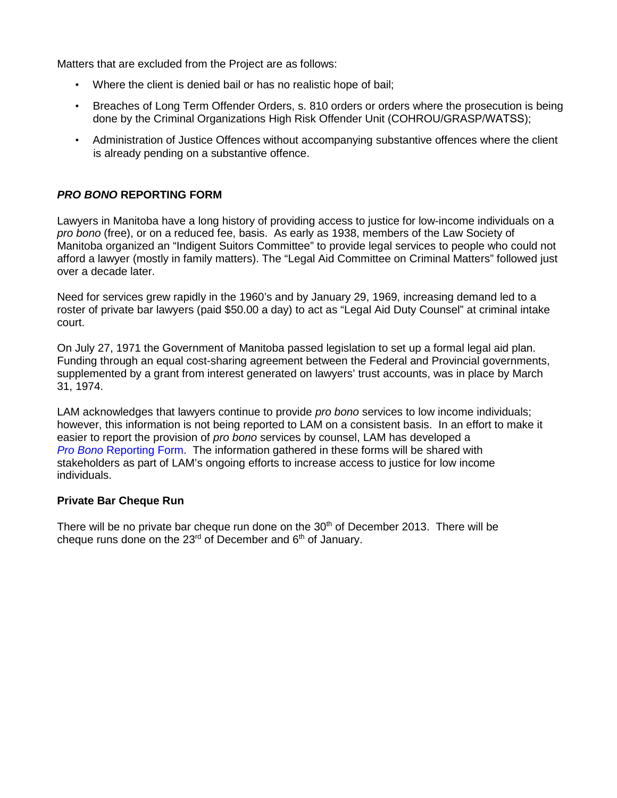Matters that are excluded from the Project are as follows:

- Where the client is denied bail or has no realistic hope of bail;
- Breaches of Long Term Offender Orders, s. 810 orders or orders where the prosecution is being done by the Criminal Organizations High Risk Offender Unit (COHROU/GRASP/WATSS);
- Administration of Justice Offences without accompanying substantive offences where the client is already pending on a substantive offence.

# *PRO BONO* **REPORTING FORM**

Lawyers in Manitoba have a long history of providing access to justice for low-income individuals on a *pro bono* (free), or on a reduced fee, basis. As early as 1938, members of the Law Society of Manitoba organized an "Indigent Suitors Committee" to provide legal services to people who could not afford a lawyer (mostly in family matters). The "Legal Aid Committee on Criminal Matters" followed just over a decade later.

Need for services grew rapidly in the 1960's and by January 29, 1969, increasing demand led to a roster of private bar lawyers (paid \$50.00 a day) to act as "Legal Aid Duty Counsel" at criminal intake court.

On July 27, 1971 the Government of Manitoba passed legislation to set up a formal legal aid plan. Funding through an equal cost-sharing agreement between the Federal and Provincial governments, supplemented by a grant from interest generated on lawyers' trust accounts, was in place by March 31, 1974.

LAM acknowledges that lawyers continue to provide *pro bono* services to low income individuals; however, this information is not being reported to LAM on a consistent basis. In an effort to make it easier to report the provision of *pro bono* services by counsel, LAM has developed a *Pro Bono* [Reporting Form](#page-4-0). The information gathered in these forms will be shared with stakeholders as part of LAM's ongoing efforts to increase access to justice for low income individuals.

#### **Private Bar Cheque Run**

There will be no private bar cheque run done on the  $30<sup>th</sup>$  of December 2013. There will be cheque runs done on the  $23<sup>rd</sup>$  of December and  $6<sup>th</sup>$  of January.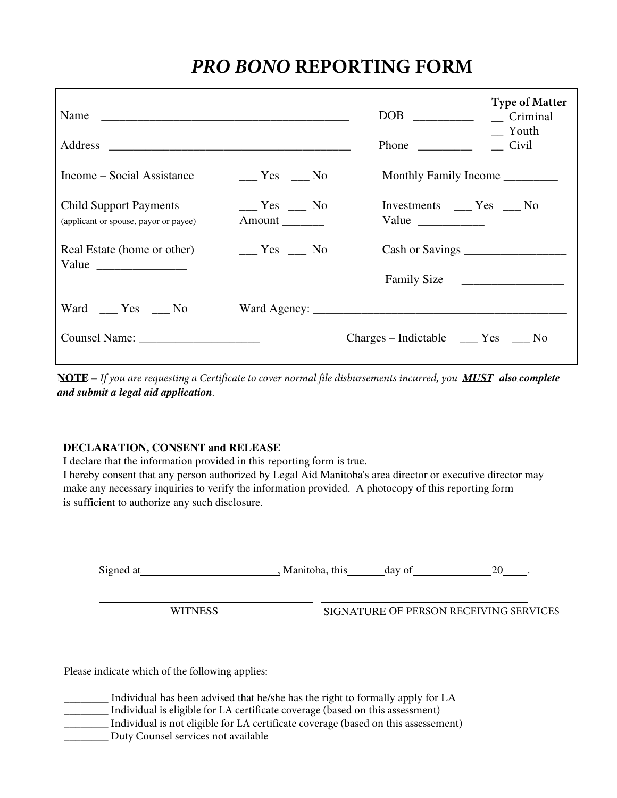# *PRO BONO* **REPORTING FORM**

<span id="page-4-0"></span>

|                                                                        |                                    | <b>Phone</b>                                                                                                 | <b>Type of Matter</b><br>Criminal<br>Youth<br>Civil |
|------------------------------------------------------------------------|------------------------------------|--------------------------------------------------------------------------------------------------------------|-----------------------------------------------------|
| Income – Social Assistance                                             | $\frac{1}{1}$ Yes $\frac{1}{1}$ No |                                                                                                              |                                                     |
| <b>Child Support Payments</b><br>(applicant or spouse, payor or payee) | $Yes$ No<br>Amount                 | Investments ______ Yes _____ No<br>Value $\frac{1}{\sqrt{1-\frac{1}{2}}\cdot\frac{1}{\sqrt{1-\frac{1}{2}}}}$ |                                                     |
| Real Estate (home or other)                                            | $Yes$ No                           |                                                                                                              |                                                     |
|                                                                        |                                    | Family Size                                                                                                  |                                                     |
| Ward ___ Yes ___ No                                                    |                                    |                                                                                                              |                                                     |
|                                                                        |                                    | $Charges - Indictable$ $Yes$ $\_\_$ No                                                                       |                                                     |

NOTE – *If you are requesting a Certificate to cover normal file disbursements incurred, you MUST also complete and submit a legal aid application.*

# DECLARATION, CONSENT and RELEASE

I declare that the information provided in this reporting form is true.

I hereby consent that any person authorized by Legal Aid Manitoba's area director or executive director may make any necessary inquiries to verify the information provided. A photocopy of this reporting form is sufficient to authorize any such disclosure.

Signed at  $\qquad \qquad \text{Mantoba, this} \qquad \text{day of} \qquad \qquad 20 \qquad \text{.}$ 

WITNESS SIGNATURE OF PERSON RECEIVING SERVICES

Please indicate which of the following applies:

\_\_\_\_\_\_\_\_ Individual has been advised that he/she has the right to formally apply for LA \_\_\_\_\_\_\_\_ Individual is eligible for LA certificate coverage (based on this assessment) Individual is not eligible for LA certificate coverage (based on this assessement) \_\_\_\_\_\_\_\_ Duty Counsel services not available